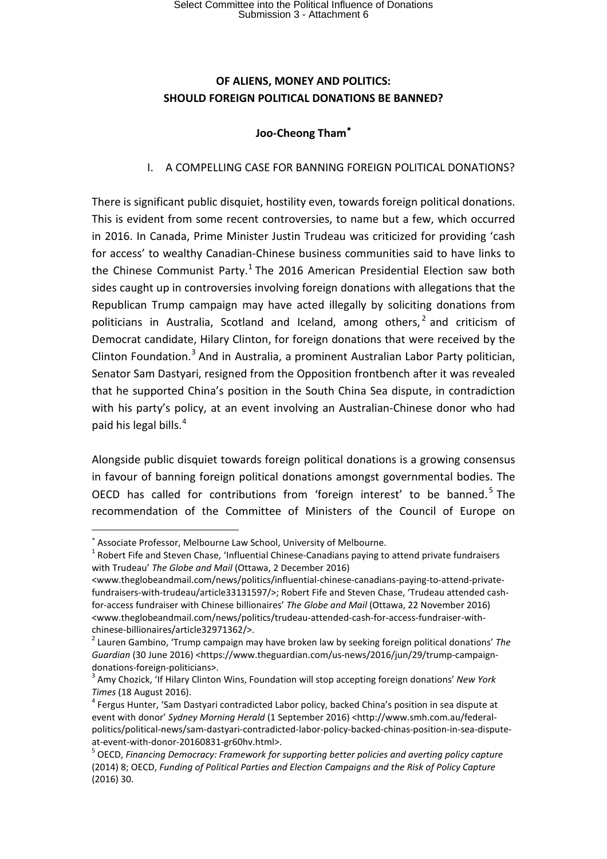### **OF ALIENS, MONEY AND POLITICS: SHOULD FOREIGN POLITICAL DONATIONS BE BANNED?**

### **Joo-Cheong Tham**[∗](#page-0-0)

#### I. A COMPELLING CASE FOR BANNING FOREIGN POLITICAL DONATIONS?

There is significant public disquiet, hostility even, towards foreign political donations. This is evident from some recent controversies, to name but a few, which occurred in 2016. In Canada, Prime Minister Justin Trudeau was criticized for providing 'cash for access' to wealthy Canadian-Chinese business communities said to have links to the Chinese Communist Party.<sup>[1](#page-0-1)</sup> The 2016 American Presidential Election saw both sides caught up in controversies involving foreign donations with allegations that the Republican Trump campaign may have acted illegally by soliciting donations from politicians in Australia, Scotland and Iceland, among others, [2](#page-0-2) and criticism of Democrat candidate, Hilary Clinton, for foreign donations that were received by the Clinton Foundation.<sup>[3](#page-0-3)</sup> And in Australia, a prominent Australian Labor Party politician, Senator Sam Dastyari, resigned from the Opposition frontbench after it was revealed that he supported China's position in the South China Sea dispute, in contradiction with his party's policy, at an event involving an Australian-Chinese donor who had paid his legal bills. [4](#page-0-4)

Alongside public disquiet towards foreign political donations is a growing consensus in favour of banning foreign political donations amongst governmental bodies. The OECD has called for contributions from 'foreign interest' to be banned.<sup>[5](#page-0-5)</sup> The recommendation of the Committee of Ministers of the Council of Europe on

 $\overline{a}$ <sup>∗</sup> Associate Professor, Melbourne Law School, University of Melbourne.

<span id="page-0-1"></span><span id="page-0-0"></span> $<sup>1</sup>$  Robert Fife and Steven Chase, 'Influential Chinese-Canadians paying to attend private fundraisers</sup> with Trudeau' *The Globe and Mail* (Ottawa, 2 December 2016)

<sup>&</sup>lt;www.theglobeandmail.com/news/politics/influential-chinese-canadians-paying-to-attend-privatefundraisers-with-trudeau/article33131597/>; Robert Fife and Steven Chase, 'Trudeau attended cashfor-access fundraiser with Chinese billionaires' *The Globe and Mail* (Ottawa, 22 November 2016) <www.theglobeandmail.com/news/politics/trudeau-attended-cash-for-access-fundraiser-withchinese-billionaires/article32971362/>.<br><sup>2</sup> Lauren Gambino, 'Trump campaign may have broken law by seeking foreign political donations' *The* 

<span id="page-0-2"></span>*Guardian* (30 June 2016) <https://www.theguardian.com/us-news/2016/jun/29/trump-campaigndonations-foreign-politicians>.<br><sup>3</sup> Amy Chozick, 'If Hilary Clinton Wins, Foundation will stop accepting foreign donations' *New York* 

<span id="page-0-3"></span>*Times* (18 August 2016).<br><sup>4</sup> Fergus Hunter, 'Sam Dastyari contradicted Labor policy, backed China's position in sea dispute at

<span id="page-0-4"></span>event with donor' Sydney Morning Herald (1 September 2016) <http://www.smh.com.au/federalpolitics/political-news/sam-dastyari-contradicted-labor-policy-backed-chinas-position-in-sea-disputeat-event-with-donor-20160831-gr60hv.html>.<br><sup>5</sup> OECD, *Financing Democracy: Framework for supporting better policies and averting policy capture* 

<span id="page-0-5"></span><sup>(2014) 8;</sup> OECD, *Funding of Political Parties and Election Campaigns and the Risk of Policy Capture*  (2016) 30.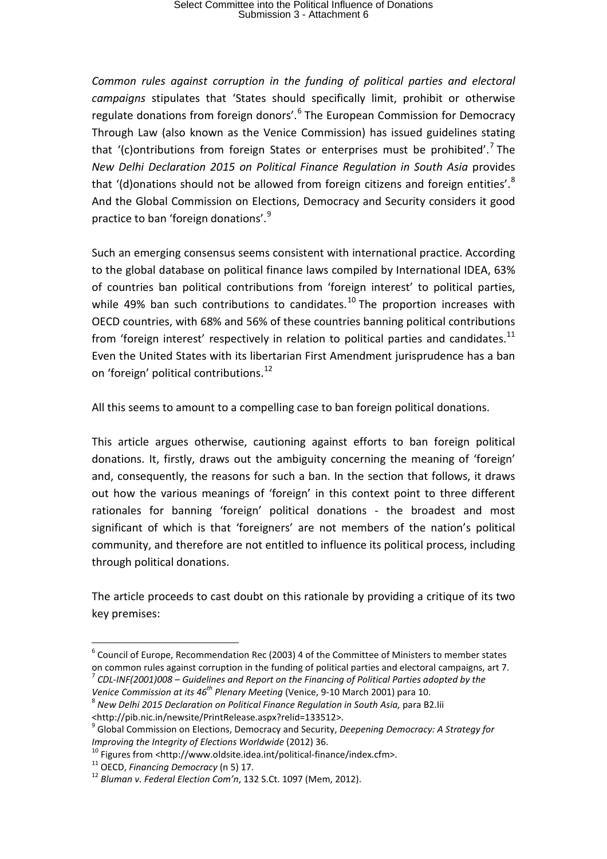*Common rules against corruption in the funding of political parties and electoral campaigns* stipulates that 'States should specifically limit, prohibit or otherwise regulate donations from foreign donors'.<sup>[6](#page-1-0)</sup> The European Commission for Democracy Through Law (also known as the Venice Commission) has issued guidelines stating that '(c)ontributions from foreign States or enterprises must be prohibited'. [7](#page-1-1) The *New Delhi Declaration 2015 on Political Finance Regulation in South Asia* provides that '(d)onations should not be allowed from foreign citizens and foreign entities'. $^8$  $^8$ And the Global Commission on Elections, Democracy and Security considers it good practice to ban 'foreign donations'. [9](#page-1-3)

Such an emerging consensus seems consistent with international practice. According to the global database on political finance laws compiled by International IDEA, 63% of countries ban political contributions from 'foreign interest' to political parties, while 49% ban such contributions to candidates.<sup>[10](#page-1-4)</sup> The proportion increases with OECD countries, with 68% and 56% of these countries banning political contributions from 'foreign interest' respectively in relation to political parties and candidates.<sup>[11](#page-1-5)</sup> Even the United States with its libertarian First Amendment jurisprudence has a ban on 'foreign' political contributions.<sup>[12](#page-1-6)</sup>

All this seems to amount to a compelling case to ban foreign political donations.

This article argues otherwise, cautioning against efforts to ban foreign political donations. It, firstly, draws out the ambiguity concerning the meaning of 'foreign' and, consequently, the reasons for such a ban. In the section that follows, it draws out how the various meanings of 'foreign' in this context point to three different rationales for banning 'foreign' political donations - the broadest and most significant of which is that 'foreigners' are not members of the nation's political community, and therefore are not entitled to influence its political process, including through political donations.

The article proceeds to cast doubt on this rationale by providing a critique of its two key premises:

<span id="page-1-0"></span> $6$  Council of Europe, Recommendation Rec (2003) 4 of the Committee of Ministers to member states on common rules against corruption in the funding of political parties and electoral campaigns, art 7. <sup>7</sup> *CDL-INF(2001)008 – Guidelines and Report on the Financing of Political Parties adopted by the* 

<span id="page-1-1"></span>*Venice Commission at its 46<sup>th</sup> Plenary Meeting* (Venice, 9-10 March 2001) para 10.<br><sup>8</sup> New Delhi 2015 Declaration on Political Finance Regulation in South Asia, para B2.Iii

<span id="page-1-2"></span><sup>&</sup>lt;http://pib.nic.in/newsite/PrintRelease.aspx?relid=133512>.

<span id="page-1-3"></span><sup>9</sup> Global Commission on Elections, Democracy and Security, *Deepening Democracy: A Strategy for Improving the Integrity of Elections Worldwide* (2012) 36.<br><sup>10</sup> Figures from <http://www.oldsite.idea.int/political-finance/index.cfm>.<br><sup>11</sup> OECD, *Financing Democracy* (n 5) 17.<br><sup>12</sup> Bluman v. Federal Election Com'n, 13

<span id="page-1-4"></span>

<span id="page-1-5"></span>

<span id="page-1-6"></span>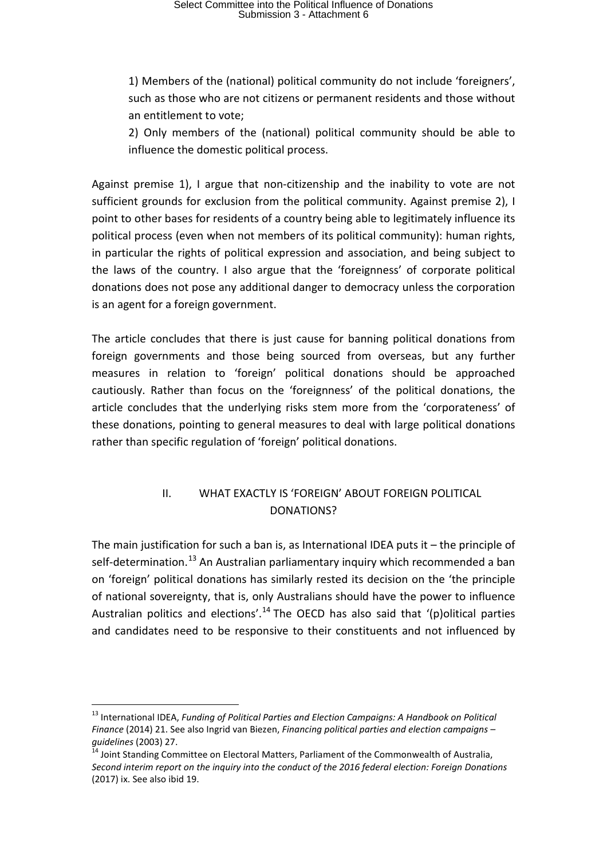1) Members of the (national) political community do not include 'foreigners', such as those who are not citizens or permanent residents and those without an entitlement to vote;

2) Only members of the (national) political community should be able to influence the domestic political process.

Against premise 1), I argue that non-citizenship and the inability to vote are not sufficient grounds for exclusion from the political community. Against premise 2), I point to other bases for residents of a country being able to legitimately influence its political process (even when not members of its political community): human rights, in particular the rights of political expression and association, and being subject to the laws of the country. I also argue that the 'foreignness' of corporate political donations does not pose any additional danger to democracy unless the corporation is an agent for a foreign government.

The article concludes that there is just cause for banning political donations from foreign governments and those being sourced from overseas, but any further measures in relation to 'foreign' political donations should be approached cautiously. Rather than focus on the 'foreignness' of the political donations, the article concludes that the underlying risks stem more from the 'corporateness' of these donations, pointing to general measures to deal with large political donations rather than specific regulation of 'foreign' political donations.

### II. WHAT EXACTLY IS 'FOREIGN' ABOUT FOREIGN POLITICAL DONATIONS?

The main justification for such a ban is, as International IDEA puts it  $-$  the principle of self-determination.<sup>[13](#page-2-0)</sup> An Australian parliamentary inquiry which recommended a ban on 'foreign' political donations has similarly rested its decision on the 'the principle of national sovereignty, that is, only Australians should have the power to influence Australian politics and elections'.<sup>[14](#page-2-1)</sup> The OECD has also said that '(p)olitical parties and candidates need to be responsive to their constituents and not influenced by

<span id="page-2-0"></span><sup>13</sup> International IDEA, *Funding of Political Parties and Election Campaigns: A Handbook on Political Finance* (2014) 21. See also Ingrid van Biezen, *Financing political parties and election campaigns – guidelines* (2003) 27.<br><sup>14</sup> Joint Standing Committee on Electoral Matters, Parliament of the Commonwealth of Australia,

<span id="page-2-1"></span>*Second interim report on the inquiry into the conduct of the 2016 federal election: Foreign Donations*  (2017) ix. See also ibid 19.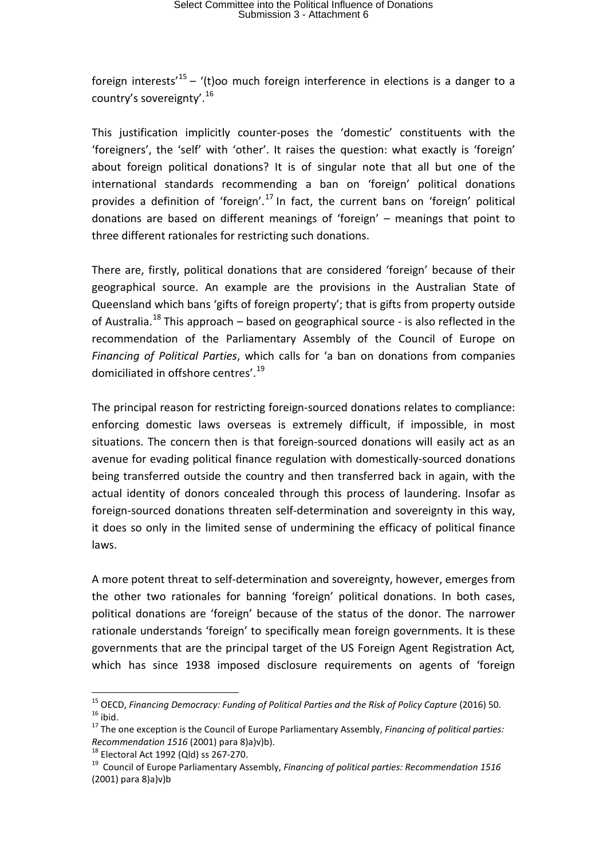foreign interests<sup>[15](#page-3-0)</sup> – '(t)oo much foreign interference in elections is a danger to a country's sovereignty'. [16](#page-3-1)

This justification implicitly counter-poses the 'domestic' constituents with the 'foreigners', the 'self' with 'other'. It raises the question: what exactly is 'foreign' about foreign political donations? It is of singular note that all but one of the international standards recommending a ban on 'foreign' political donations provides a definition of 'foreign'.<sup>[17](#page-3-2)</sup> In fact, the current bans on 'foreign' political donations are based on different meanings of 'foreign' – meanings that point to three different rationales for restricting such donations.

There are, firstly, political donations that are considered 'foreign' because of their geographical source. An example are the provisions in the Australian State of Queensland which bans 'gifts of foreign property'; that is gifts from property outside of Australia.<sup>[18](#page-3-3)</sup> This approach – based on geographical source - is also reflected in the recommendation of the Parliamentary Assembly of the Council of Europe on *Financing of Political Parties*, which calls for 'a ban on donations from companies domiciliated in offshore centres'.<sup>[19](#page-3-4)</sup>

The principal reason for restricting foreign-sourced donations relates to compliance: enforcing domestic laws overseas is extremely difficult, if impossible, in most situations. The concern then is that foreign-sourced donations will easily act as an avenue for evading political finance regulation with domestically-sourced donations being transferred outside the country and then transferred back in again, with the actual identity of donors concealed through this process of laundering. Insofar as foreign-sourced donations threaten self-determination and sovereignty in this way, it does so only in the limited sense of undermining the efficacy of political finance laws.

A more potent threat to self-determination and sovereignty, however, emerges from the other two rationales for banning 'foreign' political donations. In both cases, political donations are 'foreign' because of the status of the donor. The narrower rationale understands 'foreign' to specifically mean foreign governments. It is these governments that are the principal target of the US Foreign Agent Registration Act*,* which has since 1938 imposed disclosure requirements on agents of 'foreign

<span id="page-3-1"></span><span id="page-3-0"></span><sup>&</sup>lt;sup>15</sup> OECD, Financing Democracy: Funding of Political Parties and the Risk of Policy Capture (2016) 50.<br><sup>16</sup> ibid.<br><sup>17</sup> The one exception is the Council of Europe Parliamentary Assembly, Financing of political parties:

<span id="page-3-4"></span>

<span id="page-3-3"></span><span id="page-3-2"></span>*Recommendation 1516 (2001) para 8)a)v)b).* 18 *Recommendation 1516 (2001) para 8)a)v)b).* 18 *Electoral Act 1992 (Qld) ss 267-270.* 19 *Council of Europe Parliamentary Assembly, <i>Financing of political parties: Recommenda* (2001) para 8)a)v)b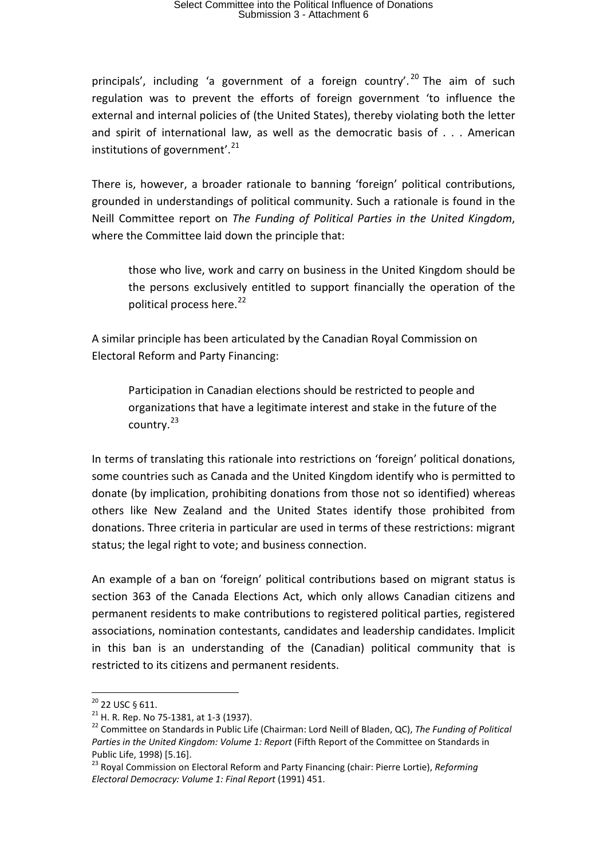principals', including 'a government of a foreign country'.<sup>[20](#page-4-0)</sup> The aim of such regulation was to prevent the efforts of foreign government 'to influence the external and internal policies of (the United States), thereby violating both the letter and spirit of international law, as well as the democratic basis of . . . American institutions of government'.<sup>[21](#page-4-1)</sup>

There is, however, a broader rationale to banning 'foreign' political contributions, grounded in understandings of political community. Such a rationale is found in the Neill Committee report on *The Funding of Political Parties in the United Kingdom*, where the Committee laid down the principle that:

those who live, work and carry on business in the United Kingdom should be the persons exclusively entitled to support financially the operation of the political process here.<sup>[22](#page-4-2)</sup>

A similar principle has been articulated by the Canadian Royal Commission on Electoral Reform and Party Financing:

Participation in Canadian elections should be restricted to people and organizations that have a legitimate interest and stake in the future of the country.<sup>[23](#page-4-3)</sup>

In terms of translating this rationale into restrictions on 'foreign' political donations, some countries such as Canada and the United Kingdom identify who is permitted to donate (by implication, prohibiting donations from those not so identified) whereas others like New Zealand and the United States identify those prohibited from donations. Three criteria in particular are used in terms of these restrictions: migrant status; the legal right to vote; and business connection.

An example of a ban on 'foreign' political contributions based on migrant status is section 363 of the Canada Elections Act, which only allows Canadian citizens and permanent residents to make contributions to registered political parties, registered associations, nomination contestants, candidates and leadership candidates. Implicit in this ban is an understanding of the (Canadian) political community that is restricted to its citizens and permanent residents.

<span id="page-4-2"></span>

<span id="page-4-1"></span><span id="page-4-0"></span><sup>&</sup>lt;sup>20</sup> 22 USC § 611.<br><sup>21</sup> H. R. Rep. No 75-1381, at 1-3 (1937).<br><sup>22</sup> Committee on Standards in Public Life (Chairman: Lord Neill of Bladen, QC), *The Funding of Political* Parties in the United Kingdom: Volume 1: Report (Fifth Report of the Committee on Standards in Public Life, 1998) [5.16].

<span id="page-4-3"></span><sup>23</sup> Royal Commission on Electoral Reform and Party Financing (chair: Pierre Lortie), *Reforming Electoral Democracy: Volume 1: Final Report* (1991) 451.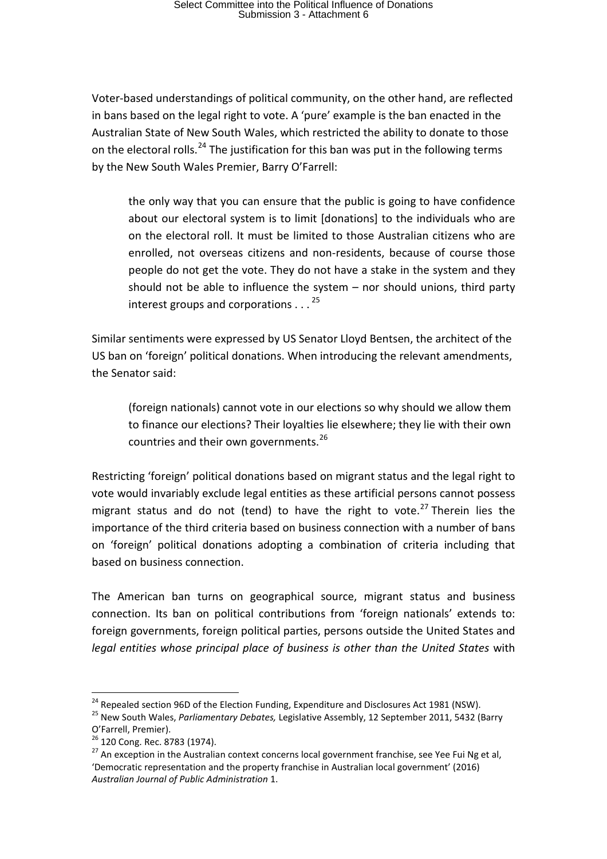Voter-based understandings of political community, on the other hand, are reflected in bans based on the legal right to vote. A 'pure' example is the ban enacted in the Australian State of New South Wales, which restricted the ability to donate to those on the electoral rolls.<sup>[24](#page-5-0)</sup> The justification for this ban was put in the following terms by the New South Wales Premier, Barry O'Farrell:

the only way that you can ensure that the public is going to have confidence about our electoral system is to limit [donations] to the individuals who are on the electoral roll. It must be limited to those Australian citizens who are enrolled, not overseas citizens and non-residents, because of course those people do not get the vote. They do not have a stake in the system and they should not be able to influence the system – nor should unions, third party interest groups and corporations  $\ldots^{25}$  $\ldots^{25}$  $\ldots^{25}$ 

Similar sentiments were expressed by US Senator Lloyd Bentsen, the architect of the US ban on 'foreign' political donations. When introducing the relevant amendments, the Senator said:

(foreign nationals) cannot vote in our elections so why should we allow them to finance our elections? Their loyalties lie elsewhere; they lie with their own countries and their own governments.<sup>[26](#page-5-2)</sup>

Restricting 'foreign' political donations based on migrant status and the legal right to vote would invariably exclude legal entities as these artificial persons cannot possess migrant status and do not (tend) to have the right to vote.<sup>[27](#page-5-3)</sup> Therein lies the importance of the third criteria based on business connection with a number of bans on 'foreign' political donations adopting a combination of criteria including that based on business connection.

The American ban turns on geographical source, migrant status and business connection. Its ban on political contributions from 'foreign nationals' extends to: foreign governments, foreign political parties, persons outside the United States and *legal entities whose principal place of business is other than the United States* with

<span id="page-5-0"></span><sup>&</sup>lt;sup>24</sup> Repealed section 96D of the Election Funding, Expenditure and Disclosures Act 1981 (NSW).<br><sup>25</sup> New South Wales, *Parliamentary Debates,* Legislative Assembly, 12 September 2011, 5432 (Barry

<span id="page-5-1"></span>O'Farrell, Premier).<br><sup>26</sup> 120 Cong. Rec. 8783 (1974).

<span id="page-5-3"></span><span id="page-5-2"></span><sup>&</sup>lt;sup>27</sup> An exception in the Australian context concerns local government franchise, see Yee Fui Ng et al, 'Democratic representation and the property franchise in Australian local government' (2016) *Australian Journal of Public Administration* 1.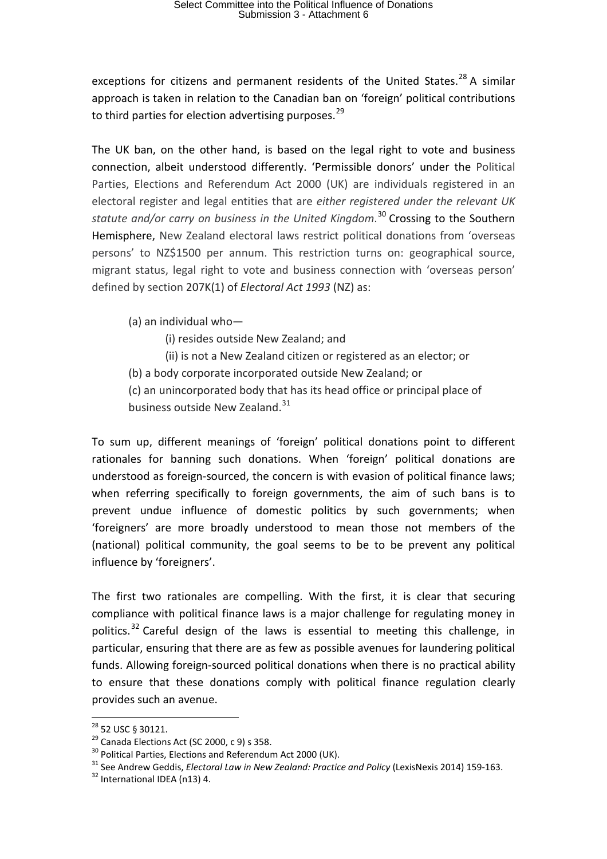exceptions for citizens and permanent residents of the United States.<sup>[28](#page-6-0)</sup> A similar approach is taken in relation to the Canadian ban on 'foreign' political contributions to third parties for election advertising purposes.<sup>[29](#page-6-1)</sup>

The UK ban, on the other hand, is based on the legal right to vote and business connection, albeit understood differently. 'Permissible donors' under the Political Parties, Elections and Referendum Act 2000 (UK) are individuals registered in an electoral register and legal entities that are *either registered under the relevant UK statute and/or carry on business in the United Kingdom*. [30](#page-6-2) Crossing to the Southern Hemisphere, New Zealand electoral laws restrict political donations from 'overseas persons' to NZ\$1500 per annum. This restriction turns on: geographical source, migrant status, legal right to vote and business connection with 'overseas person' defined by section 207K(1) of *Electoral Act 1993* (NZ) as:

(a) an individual who—

(i) resides outside New Zealand; and

(ii) is not a New Zealand citizen or registered as an elector; or

(b) a body corporate incorporated outside New Zealand; or

(c) an unincorporated body that has its head office or principal place of business outside New Zealand.<sup>[31](#page-6-3)</sup>

To sum up, different meanings of 'foreign' political donations point to different rationales for banning such donations. When 'foreign' political donations are understood as foreign-sourced, the concern is with evasion of political finance laws; when referring specifically to foreign governments, the aim of such bans is to prevent undue influence of domestic politics by such governments; when 'foreigners' are more broadly understood to mean those not members of the (national) political community, the goal seems to be to be prevent any political influence by 'foreigners'.

The first two rationales are compelling. With the first, it is clear that securing compliance with political finance laws is a major challenge for regulating money in politics.<sup>[32](#page-6-4)</sup> Careful design of the laws is essential to meeting this challenge, in particular, ensuring that there are as few as possible avenues for laundering political funds. Allowing foreign-sourced political donations when there is no practical ability to ensure that these donations comply with political finance regulation clearly provides such an avenue.

<span id="page-6-3"></span><span id="page-6-2"></span>

<span id="page-6-1"></span><span id="page-6-0"></span><sup>&</sup>lt;sup>28</sup> 52 USC § 30121.<br><sup>29</sup> Canada Elections Act (SC 2000, c 9) s 358.<br><sup>30</sup> Political Parties, Elections and Referendum Act 2000 (UK).<br><sup>31</sup> See Andrew Geddis, *Electoral Law in New Zealand: Practice and Policy* (LexisNexis

<span id="page-6-4"></span>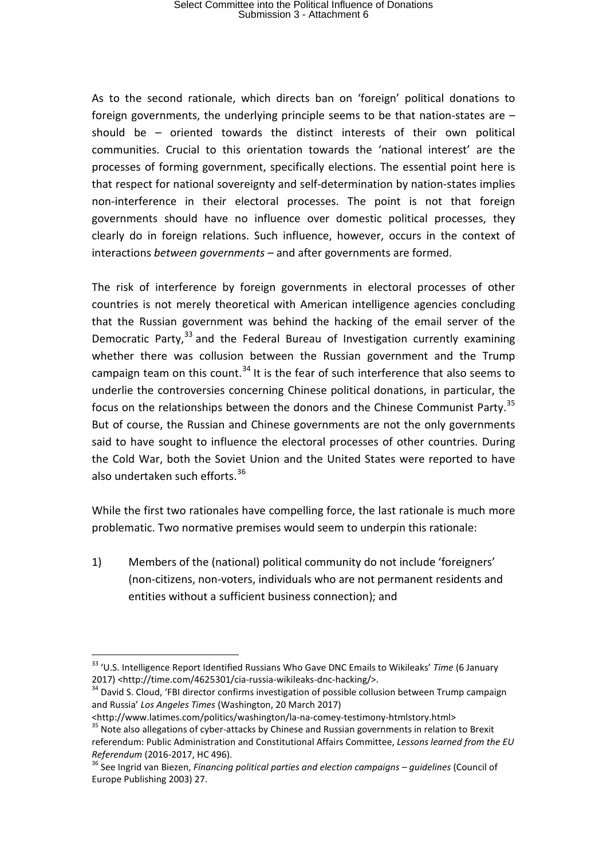As to the second rationale, which directs ban on 'foreign' political donations to foreign governments, the underlying principle seems to be that nation-states are – should be – oriented towards the distinct interests of their own political communities. Crucial to this orientation towards the 'national interest' are the processes of forming government, specifically elections. The essential point here is that respect for national sovereignty and self-determination by nation-states implies non-interference in their electoral processes. The point is not that foreign governments should have no influence over domestic political processes, they clearly do in foreign relations. Such influence, however, occurs in the context of interactions *between governments* – and after governments are formed.

The risk of interference by foreign governments in electoral processes of other countries is not merely theoretical with American intelligence agencies concluding that the Russian government was behind the hacking of the email server of the Democratic Party,<sup>[33](#page-7-0)</sup> and the Federal Bureau of Investigation currently examining whether there was collusion between the Russian government and the Trump campaign team on this count.<sup>[34](#page-7-1)</sup> It is the fear of such interference that also seems to underlie the controversies concerning Chinese political donations, in particular, the focus on the relationships between the donors and the Chinese Communist Party.<sup>[35](#page-7-2)</sup> But of course, the Russian and Chinese governments are not the only governments said to have sought to influence the electoral processes of other countries. During the Cold War, both the Soviet Union and the United States were reported to have also undertaken such efforts.<sup>[36](#page-7-3)</sup>

While the first two rationales have compelling force, the last rationale is much more problematic. Two normative premises would seem to underpin this rationale:

1) Members of the (national) political community do not include 'foreigners' (non-citizens, non-voters, individuals who are not permanent residents and entities without a sufficient business connection); and

<http://www.latimes.com/politics/washington/la-na-comey-testimony-htmlstory.html> <sup>35</sup> Note also allegations of cyber-attacks by Chinese and Russian governments in relation to Brexit

<span id="page-7-2"></span>referendum: Public Administration and Constitutional Affairs Committee, *Lessons learned from the EU Referendum* (2016-2017, HC 496).<br><sup>36</sup> See Ingrid van Biezen, *Financing political parties and election campaigns – quidelines (Council of* 

<span id="page-7-0"></span><sup>&</sup>lt;sup>33</sup> 'U.S. Intelligence Report Identified Russians Who Gave DNC Emails to Wikileaks' *Time* (6 January 2017) <http://time.com/4625301/cia-russia-wikileaks-dnc-hacking/>.

<span id="page-7-1"></span><sup>&</sup>lt;sup>34</sup> David S. Cloud, 'FBI director confirms investigation of possible collusion between Trump campaign and Russia' *Los Angeles Times* (Washington, 20 March 2017)

<span id="page-7-3"></span>Europe Publishing 2003) 27.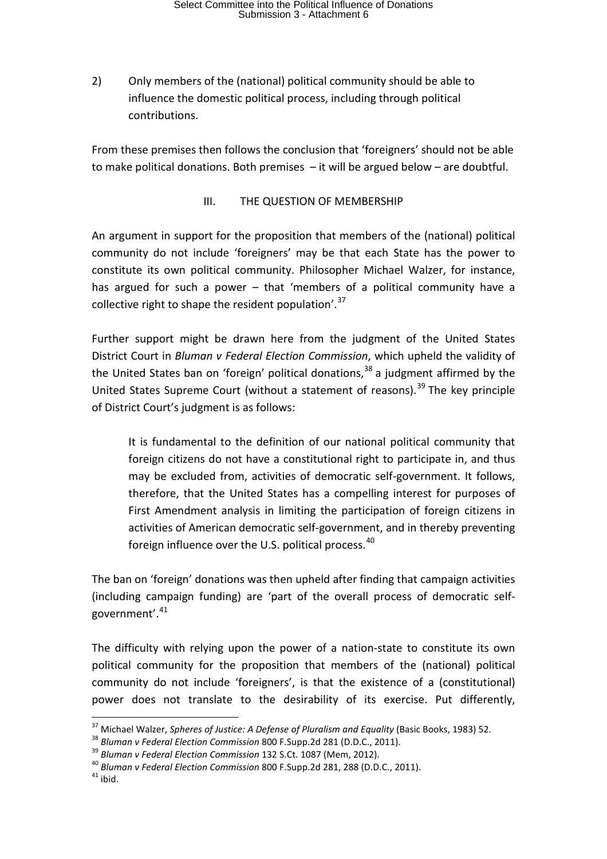2) Only members of the (national) political community should be able to influence the domestic political process, including through political contributions.

From these premises then follows the conclusion that 'foreigners' should not be able to make political donations. Both premises – it will be argued below – are doubtful.

### III. THE QUESTION OF MEMBERSHIP

An argument in support for the proposition that members of the (national) political community do not include 'foreigners' may be that each State has the power to constitute its own political community. Philosopher Michael Walzer, for instance, has argued for such a power – that 'members of a political community have a collective right to shape the resident population'.<sup>[37](#page-8-0)</sup>

Further support might be drawn here from the judgment of the United States District Court in *Bluman v Federal Election Commission*, which upheld the validity of the United States ban on 'foreign' political donations,  $38$  a judgment affirmed by the United States Supreme Court (without a statement of reasons).<sup>[39](#page-8-2)</sup> The key principle of District Court's judgment is as follows:

It is fundamental to the definition of our national political community that foreign citizens do not have a constitutional right to participate in, and thus may be excluded from, activities of democratic self-government. It follows, therefore, that the United States has a compelling interest for purposes of First Amendment analysis in limiting the participation of foreign citizens in activities of American democratic self-government, and in thereby preventing foreign influence over the U.S. political process.<sup>[40](#page-8-3)</sup>

The ban on 'foreign' donations was then upheld after finding that campaign activities (including campaign funding) are 'part of the overall process of democratic self-government'.<sup>[41](#page-8-4)</sup>

The difficulty with relying upon the power of a nation-state to constitute its own political community for the proposition that members of the (national) political community do not include 'foreigners', is that the existence of a (constitutional) power does not translate to the desirability of its exercise. Put differently,

<span id="page-8-1"></span><span id="page-8-0"></span><sup>&</sup>lt;sup>37</sup> Michael Walzer, *Spheres of Justice: A Defense of Pluralism and Equality* (Basic Books, 1983) 52.<br><sup>38</sup> Bluman v Federal Election Commission 800 F.Supp.2d 281 (D.D.C., 2011).<br><sup>39</sup> Bluman v Federal Election Commission

<span id="page-8-2"></span>

<span id="page-8-4"></span><span id="page-8-3"></span>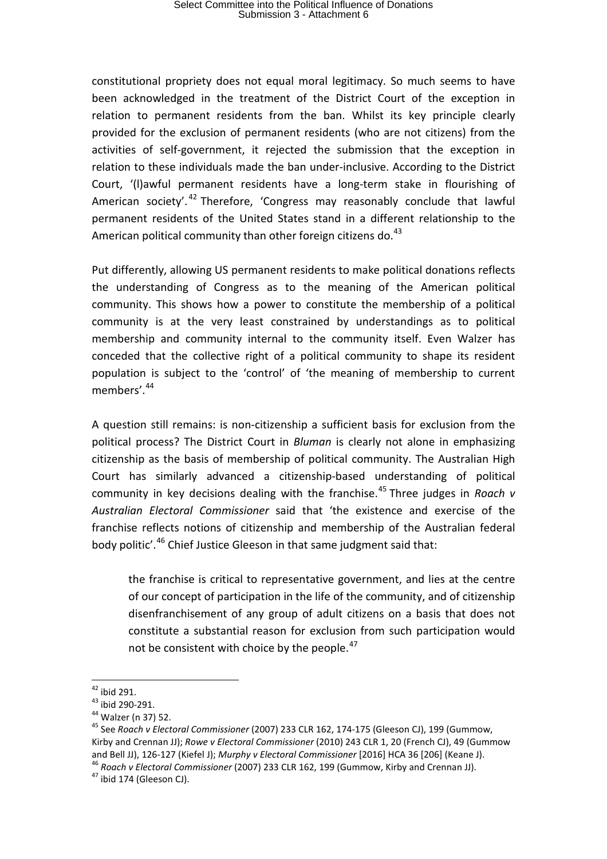constitutional propriety does not equal moral legitimacy. So much seems to have been acknowledged in the treatment of the District Court of the exception in relation to permanent residents from the ban. Whilst its key principle clearly provided for the exclusion of permanent residents (who are not citizens) from the activities of self-government, it rejected the submission that the exception in relation to these individuals made the ban under-inclusive. According to the District Court, '(l)awful permanent residents have a long-term stake in flourishing of American society'.<sup>[42](#page-9-0)</sup> Therefore, 'Congress may reasonably conclude that lawful permanent residents of the United States stand in a different relationship to the American political community than other foreign citizens do.<sup>[43](#page-9-1)</sup>

Put differently, allowing US permanent residents to make political donations reflects the understanding of Congress as to the meaning of the American political community. This shows how a power to constitute the membership of a political community is at the very least constrained by understandings as to political membership and community internal to the community itself. Even Walzer has conceded that the collective right of a political community to shape its resident population is subject to the 'control' of 'the meaning of membership to current members'.[44](#page-9-2)

A question still remains: is non-citizenship a sufficient basis for exclusion from the political process? The District Court in *Bluman* is clearly not alone in emphasizing citizenship as the basis of membership of political community. The Australian High Court has similarly advanced a citizenship-based understanding of political community in key decisions dealing with the franchise.[45](#page-9-3) Three judges in *Roach v Australian Electoral Commissioner* said that 'the existence and exercise of the franchise reflects notions of citizenship and membership of the Australian federal body politic'.<sup>[46](#page-9-4)</sup> Chief Justice Gleeson in that same judgment said that:

the franchise is critical to representative government, and lies at the centre of our concept of participation in the life of the community, and of citizenship disenfranchisement of any group of adult citizens on a basis that does not constitute a substantial reason for exclusion from such participation would not be consistent with choice by the people.<sup>[47](#page-9-5)</sup>

<span id="page-9-3"></span><span id="page-9-2"></span>

<span id="page-9-1"></span><span id="page-9-0"></span><sup>&</sup>lt;sup>42</sup> ibid 291.<br><sup>43</sup> ibid 290-291.<br><sup>44</sup> Walzer (n 37) 52.<br><sup>45</sup> See *Roach v Electoral Commissioner* (2007) 233 CLR 162, 174-175 (Gleeson CJ), 199 (Gummow, Kirby and Crennan JJ); *Rowe v Electoral Commissioner* (2010) 243 CLR 1, 20 (French CJ), 49 (Gummow and Bell JJ), 126-127 (Kiefel J); *Murphy v Electoral Commissioner* [2016] HCA 36 [206] (Keane J).<br><sup>46</sup> Roach *v Electoral Commissioner* (2007) 233 CLR 162, 199 (Gummow, Kirby and Crennan JJ).<br><sup>47</sup> ibid 174 (Gleeson CJ).

<span id="page-9-5"></span><span id="page-9-4"></span>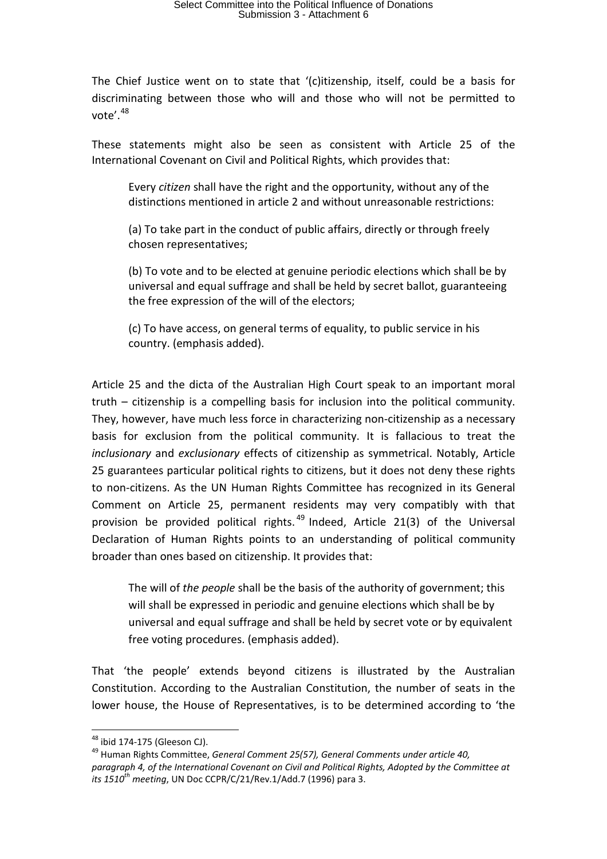The Chief Justice went on to state that '(c)itizenship, itself, could be a basis for discriminating between those who will and those who will not be permitted to vote'.[48](#page-10-0)

These statements might also be seen as consistent with Article 25 of the International Covenant on Civil and Political Rights, which provides that:

Every *citizen* shall have the right and the opportunity, without any of the distinctions mentioned in article 2 and without unreasonable restrictions:

(a) To take part in the conduct of public affairs, directly or through freely chosen representatives;

(b) To vote and to be elected at genuine periodic elections which shall be by universal and equal suffrage and shall be held by secret ballot, guaranteeing the free expression of the will of the electors;

(c) To have access, on general terms of equality, to public service in his country. (emphasis added).

Article 25 and the dicta of the Australian High Court speak to an important moral truth – citizenship is a compelling basis for inclusion into the political community. They, however, have much less force in characterizing non-citizenship as a necessary basis for exclusion from the political community. It is fallacious to treat the *inclusionary* and *exclusionary* effects of citizenship as symmetrical. Notably, Article 25 guarantees particular political rights to citizens, but it does not deny these rights to non-citizens. As the UN Human Rights Committee has recognized in its General Comment on Article 25, permanent residents may very compatibly with that provision be provided political rights.<sup>[49](#page-10-1)</sup> Indeed, Article 21(3) of the Universal Declaration of Human Rights points to an understanding of political community broader than ones based on citizenship. It provides that:

The will of *the people* shall be the basis of the authority of government; this will shall be expressed in periodic and genuine elections which shall be by universal and equal suffrage and shall be held by secret vote or by equivalent free voting procedures. (emphasis added).

That 'the people' extends beyond citizens is illustrated by the Australian Constitution. According to the Australian Constitution, the number of seats in the lower house, the House of Representatives, is to be determined according to 'the

<span id="page-10-1"></span><span id="page-10-0"></span><sup>&</sup>lt;sup>48</sup> ibid 174-175 (Gleeson CJ).<br><sup>49</sup> Human Rights Committee, *General Comment 25(57), General Comments under article 40, paragraph 4, of the International Covenant on Civil and Political Rights, Adopted by the Committee at its 1510<sup>th</sup> meeting*, UN Doc CCPR/C/21/Rev.1/Add.7 (1996) para 3.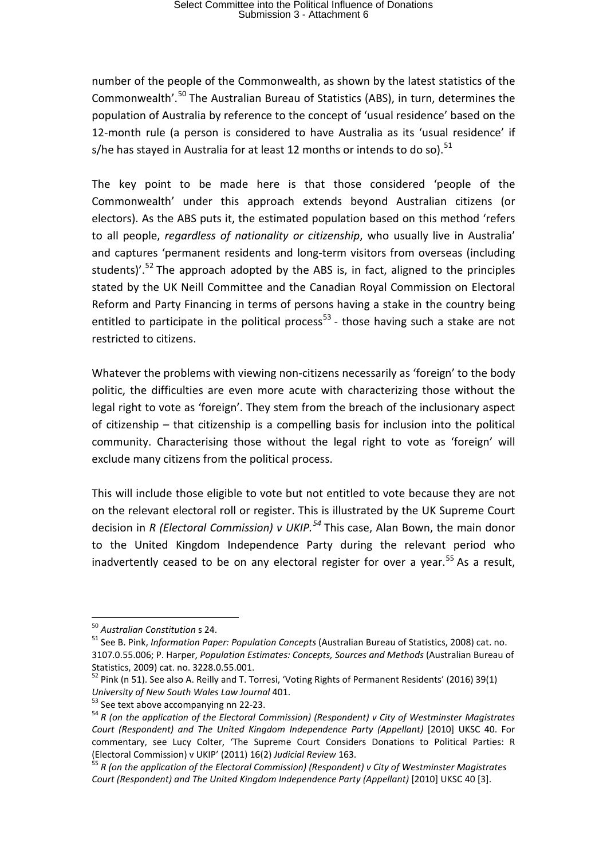number of the people of the Commonwealth, as shown by the latest statistics of the Commonwealth'.[50](#page-11-0) The Australian Bureau of Statistics (ABS), in turn, determines the population of Australia by reference to the concept of 'usual residence' based on the 12-month rule (a person is considered to have Australia as its 'usual residence' if s/he has stayed in Australia for at least 12 months or intends to do so).<sup>[51](#page-11-1)</sup>

The key point to be made here is that those considered 'people of the Commonwealth' under this approach extends beyond Australian citizens (or electors). As the ABS puts it, the estimated population based on this method 'refers to all people, *regardless of nationality or citizenship*, who usually live in Australia' and captures 'permanent residents and long-term visitors from overseas (including students)'.<sup>[52](#page-11-2)</sup> The approach adopted by the ABS is, in fact, aligned to the principles stated by the UK Neill Committee and the Canadian Royal Commission on Electoral Reform and Party Financing in terms of persons having a stake in the country being entitled to participate in the political process $53$  - those having such a stake are not restricted to citizens.

Whatever the problems with viewing non-citizens necessarily as 'foreign' to the body politic, the difficulties are even more acute with characterizing those without the legal right to vote as 'foreign'. They stem from the breach of the inclusionary aspect of citizenship – that citizenship is a compelling basis for inclusion into the political community. Characterising those without the legal right to vote as 'foreign' will exclude many citizens from the political process.

This will include those eligible to vote but not entitled to vote because they are not on the relevant electoral roll or register. This is illustrated by the UK Supreme Court decision in *R (Electoral Commission) v UKIP.[54](#page-11-4)* This case, Alan Bown, the main donor to the United Kingdom Independence Party during the relevant period who inadvertently ceased to be on any electoral register for over a year.<sup>[55](#page-11-5)</sup> As a result,

<span id="page-11-1"></span><span id="page-11-0"></span><sup>&</sup>lt;sup>50</sup> Australian Constitution *s* 24.<br><sup>51</sup> See B. Pink, *Information Paper: Population Concepts* (Australian Bureau of Statistics, 2008) cat. no. 3107.0.55.006; P. Harper, *Population Estimates: Concepts, Sources and Methods* (Australian Bureau of

<span id="page-11-2"></span>Statistics, 2009) cat. no. 3228.0.55.001.<br><sup>52</sup> Pink (n 51). See also A. Reilly and T. Torresi, 'Voting Rights of Permanent Residents' (2016) 39(1) *University of New South Wales Law Journal 401. 53* See text above accompanying nn 22-23. *54 R* (on the application of the Electoral Commission) (Respondent) *v City of Westminster Magistrates* 

<span id="page-11-4"></span><span id="page-11-3"></span>Court (Respondent) and The United Kingdom Independence Party (Appellant) <sup>[2010]</sup> UKSC 40. For commentary, see Lucy Colter, 'The Supreme Court Considers Donations to Political Parties: R (Electoral Commission) v UKIP' (2011) 16(2) Judicial Review 163.

<span id="page-11-5"></span> $\bar{E}$  (on the application of the Electoral Commission) (Respondent) v City of Westminster Magistrates  $\bar{E}$ *Court (Respondent) and The United Kingdom Independence Party (Appellant)* [2010] UKSC 40 [3].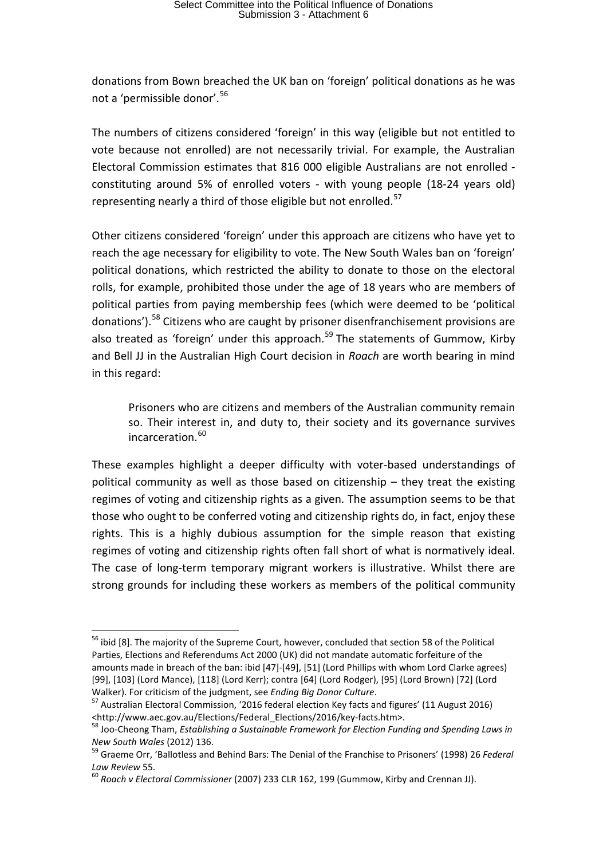donations from Bown breached the UK ban on 'foreign' political donations as he was not a 'permissible donor'.[56](#page-12-0)

The numbers of citizens considered 'foreign' in this way (eligible but not entitled to vote because not enrolled) are not necessarily trivial. For example, the Australian Electoral Commission estimates that 816 000 eligible Australians are not enrolled constituting around 5% of enrolled voters - with young people (18-24 years old) representing nearly a third of those eligible but not enrolled.<sup>[57](#page-12-1)</sup>

Other citizens considered 'foreign' under this approach are citizens who have yet to reach the age necessary for eligibility to vote. The New South Wales ban on 'foreign' political donations, which restricted the ability to donate to those on the electoral rolls, for example, prohibited those under the age of 18 years who are members of political parties from paying membership fees (which were deemed to be 'political donations').<sup>[58](#page-12-2)</sup> Citizens who are caught by prisoner disenfranchisement provisions are also treated as 'foreign' under this approach.<sup>[59](#page-12-3)</sup> The statements of Gummow, Kirby and Bell JJ in the Australian High Court decision in *Roach* are worth bearing in mind in this regard:

Prisoners who are citizens and members of the Australian community remain so. Their interest in, and duty to, their society and its governance survives incarceration.<sup>[60](#page-12-4)</sup>

These examples highlight a deeper difficulty with voter-based understandings of political community as well as those based on citizenship – they treat the existing regimes of voting and citizenship rights as a given. The assumption seems to be that those who ought to be conferred voting and citizenship rights do, in fact, enjoy these rights. This is a highly dubious assumption for the simple reason that existing regimes of voting and citizenship rights often fall short of what is normatively ideal. The case of long-term temporary migrant workers is illustrative. Whilst there are strong grounds for including these workers as members of the political community

<span id="page-12-0"></span><sup>&</sup>lt;sup>56</sup> ibid [8]. The majority of the Supreme Court, however, concluded that section 58 of the Political Parties, Elections and Referendums Act 2000 (UK) did not mandate automatic forfeiture of the amounts made in breach of the ban: ibid [47]-[49], [51] (Lord Phillips with whom Lord Clarke agrees) [99], [103] (Lord Mance), [118] (Lord Kerr); contra [64] (Lord Rodger), [95] (Lord Brown) [72] (Lord

<span id="page-12-1"></span>Walker). For criticism of the judgment, see *Ending Big Donor Culture*.<br><sup>57</sup> Australian Electoral Commission, '2016 federal election Key facts and figures' (11 August 2016)<br><http://www.aec.gov.au/Elections/Federal\_Election

<span id="page-12-2"></span><sup>&</sup>lt;sup>58</sup> Joo-Cheong Tham, *Establishing a Sustainable Framework for Election Funding and Spending Laws in New South Wales* (2012) 136.<br><sup>59</sup> Graeme Orr, 'Ballotless and Behind Bars: The Denial of the Franchise to Prisoners' (1998) 26 *Federal* 

<span id="page-12-3"></span>*Law Review* 55. <sup>60</sup> *Roach v Electoral Commissioner* (2007) 233 CLR 162, 199 (Gummow, Kirby and Crennan JJ).

<span id="page-12-4"></span>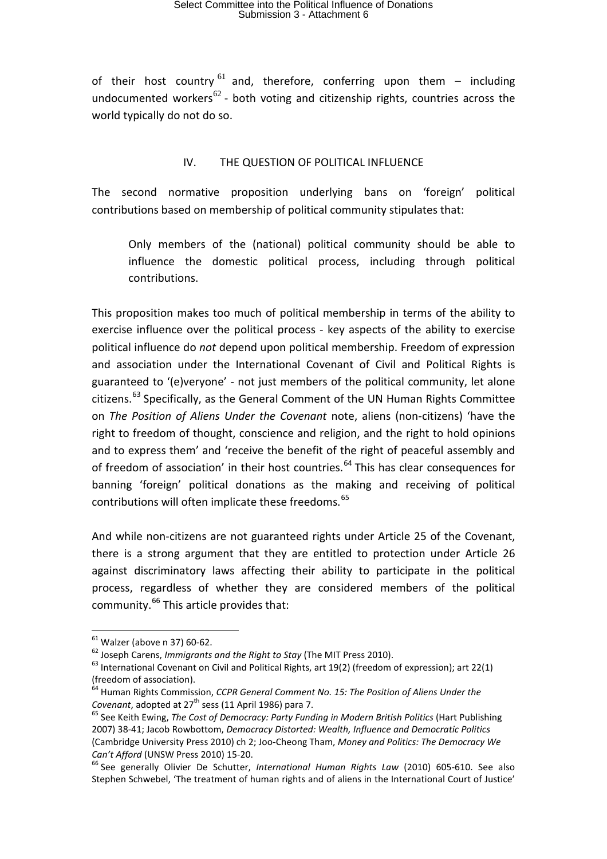## Select Committee into the Political Influence of Donations Submission 3 - Attachment 6

of their host country  $61$  and, therefore, conferring upon them – including undocumented workers<sup>[62](#page-13-1)</sup> - both voting and citizenship rights, countries across the world typically do not do so.

#### IV. THE QUESTION OF POLITICAL INFLUENCE

The second normative proposition underlying bans on 'foreign' political contributions based on membership of political community stipulates that:

Only members of the (national) political community should be able to influence the domestic political process, including through political contributions.

This proposition makes too much of political membership in terms of the ability to exercise influence over the political process - key aspects of the ability to exercise political influence do *not* depend upon political membership. Freedom of expression and association under the International Covenant of Civil and Political Rights is guaranteed to '(e)veryone' - not just members of the political community, let alone citizens.<sup>[63](#page-13-2)</sup> Specifically, as the General Comment of the UN Human Rights Committee on *The Position of Aliens Under the Covenant* note, aliens (non-citizens) 'have the right to freedom of thought, conscience and religion, and the right to hold opinions and to express them' and 'receive the benefit of the right of peaceful assembly and of freedom of association' in their host countries.<sup>[64](#page-13-3)</sup> This has clear consequences for banning 'foreign' political donations as the making and receiving of political contributions will often implicate these freedoms.<sup>[65](#page-13-4)</sup>

And while non-citizens are not guaranteed rights under Article 25 of the Covenant, there is a strong argument that they are entitled to protection under Article 26 against discriminatory laws affecting their ability to participate in the political process, regardless of whether they are considered members of the political community. [66](#page-13-5) This article provides that:

<span id="page-13-2"></span>

<span id="page-13-1"></span><span id="page-13-0"></span><sup>&</sup>lt;sup>61</sup> Walzer (above n 37) 60-62.<br><sup>62</sup> Joseph Carens, *Immigrants and the Right to Stay* (The MIT Press 2010).<br><sup>63</sup> International Covenant on Civil and Political Rights, art 19(2) (freedom of expression); art 22(1) (freedom of association).

<span id="page-13-3"></span><sup>64</sup> Human Rights Commission, *CCPR General Comment No. 15: The Position of Aliens Under the Covenant*, adopted at 27<sup>th</sup> sess (11 April 1986) para 7.<br><sup>65</sup> See Keith Ewing, *The Cost of Democracy: Party Funding in Modern British Politics* (Hart Publishing

<span id="page-13-4"></span><sup>2007) 38-41;</sup> Jacob Rowbottom, *Democracy Distorted: Wealth, Influence and Democratic Politics*  (Cambridge University Press 2010) ch 2; Joo-Cheong Tham, *Money and Politics: The Democracy We Can't Afford* (UNSW Press 2010) 15-20. <sup>66</sup> See generally Olivier De Schutter, *International Human Rights Law* (2010) 605-610. See also

<span id="page-13-5"></span>Stephen Schwebel, 'The treatment of human rights and of aliens in the International Court of Justice'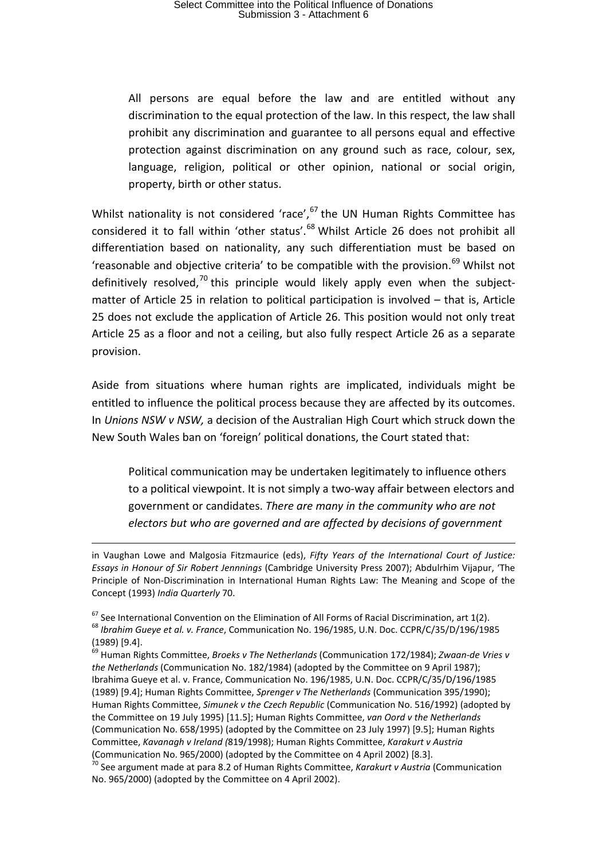All persons are equal before the law and are entitled without any discrimination to the equal protection of the law. In this respect, the law shall prohibit any discrimination and guarantee to all persons equal and effective protection against discrimination on any ground such as race, colour, sex, language, religion, political or other opinion, national or social origin, property, birth or other status.

Whilst nationality is not considered 'race', $67$  the UN Human Rights Committee has considered it to fall within 'other status'.<sup>[68](#page-14-1)</sup> Whilst Article 26 does not prohibit all differentiation based on nationality, any such differentiation must be based on 'reasonable and objective criteria' to be compatible with the provision. [69](#page-14-2) Whilst not definitively resolved,<sup>[70](#page-14-3)</sup> this principle would likely apply even when the subjectmatter of Article 25 in relation to political participation is involved – that is, Article 25 does not exclude the application of Article 26. This position would not only treat Article 25 as a floor and not a ceiling, but also fully respect Article 26 as a separate provision.

Aside from situations where human rights are implicated, individuals might be entitled to influence the political process because they are affected by its outcomes. In *Unions NSW v NSW,* a decision of the Australian High Court which struck down the New South Wales ban on 'foreign' political donations, the Court stated that:

Political communication may be undertaken legitimately to influence others to a political viewpoint. It is not simply a two-way affair between electors and government or candidates. *There are many in the community who are not electors but who are governed and are affected by decisions of government*

 $\overline{a}$ 

in Vaughan Lowe and Malgosia Fitzmaurice (eds), *Fifty Years of the International Court of Justice: Essays in Honour of Sir Robert Jennnings* (Cambridge University Press 2007); Abdulrhim Vijapur, 'The Principle of Non-Discrimination in International Human Rights Law: The Meaning and Scope of the Concept (1993) *India Quarterly* 70.

<span id="page-14-1"></span><span id="page-14-0"></span><sup>&</sup>lt;sup>67</sup> See International Convention on the Elimination of All Forms of Racial Discrimination, art 1(2).<br><sup>68</sup> *Ibrahim Gueye et al. v. France*, Communication No. 196/1985, U.N. Doc. CCPR/C/35/D/196/1985 (1989) [9.4].

<span id="page-14-2"></span><sup>69</sup> Human Rights Committee, *Broeks v The Netherlands* (Communication 172/1984); *Zwaan-de Vries v the Netherlands* (Communication No. 182/1984) (adopted by the Committee on 9 April 1987); Ibrahima Gueye et al. v. France, Communication No. 196/1985, U.N. Doc. CCPR/C/35/D/196/1985 (1989) [9.4]; Human Rights Committee, *Sprenger v The Netherlands* (Communication 395/1990); Human Rights Committee, *Simunek v the Czech Republic* (Communication No. 516/1992) (adopted by the Committee on 19 July 1995) [11.5]; Human Rights Committee, *van Oord v the Netherlands*  (Communication No. 658/1995) (adopted by the Committee on 23 July 1997) [9.5]; Human Rights Committee, *Kavanagh v Ireland (*819/1998); Human Rights Committee, *Karakurt v Austria*  (Communication No. 965/2000) (adopted by the Committee on 4 April 2002) [8.3].

<span id="page-14-3"></span><sup>70</sup> See argument made at para 8.2 of Human Rights Committee, *Karakurt v Austria* (Communication No. 965/2000) (adopted by the Committee on 4 April 2002).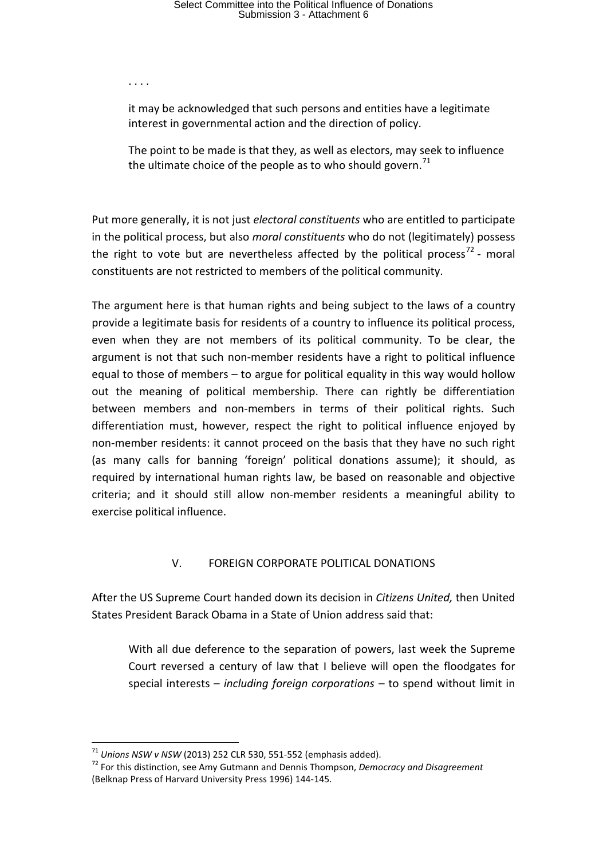# Select Committee into the Political Influence of Donations Submission 3 - Attachment 6

. . . .

it may be acknowledged that such persons and entities have a legitimate interest in governmental action and the direction of policy.

The point to be made is that they, as well as electors, may seek to influence the ultimate choice of the people as to who should govern.<sup>[71](#page-15-0)</sup>

Put more generally, it is not just *electoral constituents* who are entitled to participate in the political process, but also *moral constituents* who do not (legitimately) possess the right to vote but are nevertheless affected by the political process<sup>[72](#page-15-1)</sup> - moral constituents are not restricted to members of the political community.

The argument here is that human rights and being subject to the laws of a country provide a legitimate basis for residents of a country to influence its political process, even when they are not members of its political community. To be clear, the argument is not that such non-member residents have a right to political influence equal to those of members – to argue for political equality in this way would hollow out the meaning of political membership. There can rightly be differentiation between members and non-members in terms of their political rights. Such differentiation must, however, respect the right to political influence enjoyed by non-member residents: it cannot proceed on the basis that they have no such right (as many calls for banning 'foreign' political donations assume); it should, as required by international human rights law, be based on reasonable and objective criteria; and it should still allow non-member residents a meaningful ability to exercise political influence.

### V. FOREIGN CORPORATE POLITICAL DONATIONS

After the US Supreme Court handed down its decision in *Citizens United,* then United States President Barack Obama in a State of Union address said that:

With all due deference to the separation of powers, last week the Supreme Court reversed a century of law that I believe will open the floodgates for special interests – *including foreign corporations –* to spend without limit in

<span id="page-15-1"></span><span id="page-15-0"></span><sup>&</sup>lt;sup>71</sup> Unions NSW v NSW (2013) 252 CLR 530, 551-552 (emphasis added).<br><sup>72</sup> For this distinction, see Amy Gutmann and Dennis Thompson, *Democracy and Disagreement* (Belknap Press of Harvard University Press 1996) 144-145.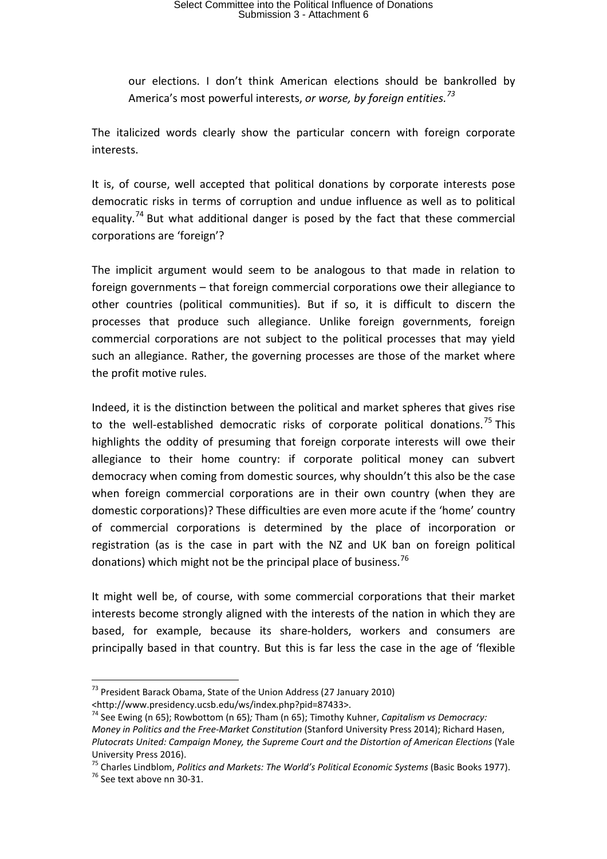our elections. I don't think American elections should be bankrolled by America's most powerful interests, *or worse, by foreign entities.[73](#page-16-0)*

The italicized words clearly show the particular concern with foreign corporate interests.

It is, of course, well accepted that political donations by corporate interests pose democratic risks in terms of corruption and undue influence as well as to political equality.<sup>[74](#page-16-1)</sup> But what additional danger is posed by the fact that these commercial corporations are 'foreign'?

The implicit argument would seem to be analogous to that made in relation to foreign governments – that foreign commercial corporations owe their allegiance to other countries (political communities). But if so, it is difficult to discern the processes that produce such allegiance. Unlike foreign governments, foreign commercial corporations are not subject to the political processes that may yield such an allegiance. Rather, the governing processes are those of the market where the profit motive rules.

Indeed, it is the distinction between the political and market spheres that gives rise to the well-established democratic risks of corporate political donations.<sup>[75](#page-16-2)</sup> This highlights the oddity of presuming that foreign corporate interests will owe their allegiance to their home country: if corporate political money can subvert democracy when coming from domestic sources, why shouldn't this also be the case when foreign commercial corporations are in their own country (when they are domestic corporations)? These difficulties are even more acute if the 'home' country of commercial corporations is determined by the place of incorporation or registration (as is the case in part with the NZ and UK ban on foreign political donations) which might not be the principal place of business.<sup>[76](#page-16-3)</sup>

It might well be, of course, with some commercial corporations that their market interests become strongly aligned with the interests of the nation in which they are based, for example, because its share-holders, workers and consumers are principally based in that country. But this is far less the case in the age of 'flexible

<span id="page-16-0"></span> $^{73}$  President Barack Obama, State of the Union Address (27 January 2010)

<sup>&</sup>lt;http://www.presidency.ucsb.edu/ws/index.php?pid=87433>.

<span id="page-16-1"></span><sup>74</sup> See Ewing (n 65); Rowbottom (n 65)*;* Tham (n 65); Timothy Kuhner, *Capitalism vs Democracy: Money in Politics and the Free-Market Constitution* (Stanford University Press 2014); Richard Hasen, *Plutocrats United: Campaign Money, the Supreme Court and the Distortion of American Elections* (Yale

<span id="page-16-2"></span>University Press 2016).<br><sup>75</sup> Charles Lindblom, *Politics and Markets: The World's Political Economic Systems* (Basic Books 1977).<br><sup>76</sup> See text above nn 30-31.

<span id="page-16-3"></span>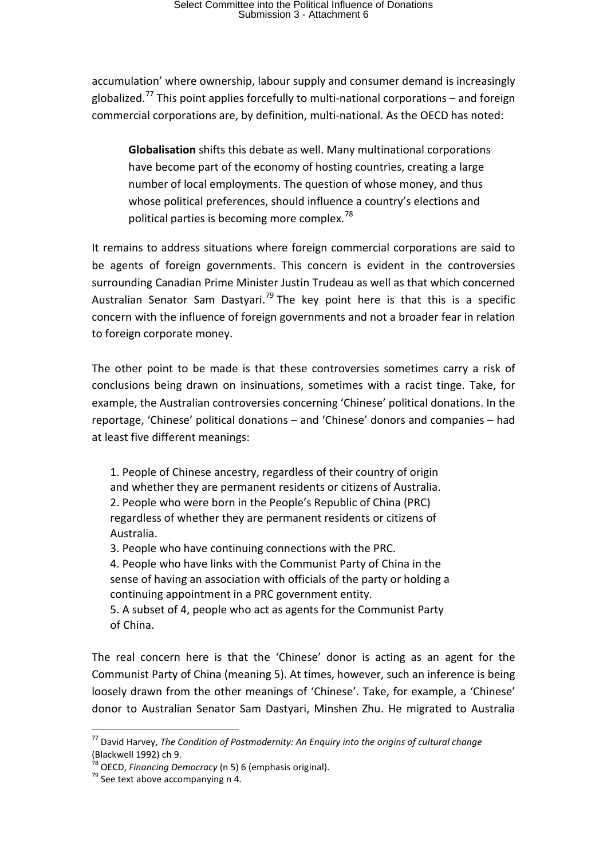accumulation' where ownership, labour supply and consumer demand is increasingly globalized.<sup>[77](#page-17-0)</sup> This point applies forcefully to multi-national corporations – and foreign commercial corporations are, by definition, multi-national. As the OECD has noted:

**Globalisation** shifts this debate as well. Many multinational corporations have become part of the economy of hosting countries, creating a large number of local employments. The question of whose money, and thus whose political preferences, should influence a country's elections and political parties is becoming more complex.<sup>[78](#page-17-1)</sup>

It remains to address situations where foreign commercial corporations are said to be agents of foreign governments. This concern is evident in the controversies surrounding Canadian Prime Minister Justin Trudeau as well as that which concerned Australian Senator Sam Dastyari.<sup>[79](#page-17-2)</sup> The key point here is that this is a specific concern with the influence of foreign governments and not a broader fear in relation to foreign corporate money.

The other point to be made is that these controversies sometimes carry a risk of conclusions being drawn on insinuations, sometimes with a racist tinge. Take, for example, the Australian controversies concerning 'Chinese' political donations. In the reportage, 'Chinese' political donations – and 'Chinese' donors and companies – had at least five different meanings:

1. People of Chinese ancestry, regardless of their country of origin and whether they are permanent residents or citizens of Australia. 2. People who were born in the People's Republic of China (PRC) regardless of whether they are permanent residents or citizens of Australia.

3. People who have continuing connections with the PRC.

4. People who have links with the Communist Party of China in the sense of having an association with officials of the party or holding a continuing appointment in a PRC government entity.

5. A subset of 4, people who act as agents for the Communist Party of China.

The real concern here is that the 'Chinese' donor is acting as an agent for the Communist Party of China (meaning 5). At times, however, such an inference is being loosely drawn from the other meanings of 'Chinese'. Take, for example, a 'Chinese' donor to Australian Senator Sam Dastyari, Minshen Zhu. He migrated to Australia

<span id="page-17-0"></span><sup>77</sup> David Harvey, *The Condition of Postmodernity: An Enquiry into the origins of cultural change*  (Blackwell 1992) ch 9.<br><sup>78</sup> OECD, *Financing Democracy* (n 5) 6 (emphasis original).<br><sup>79</sup> See text above accompanying n 4.

<span id="page-17-1"></span>

<span id="page-17-2"></span>